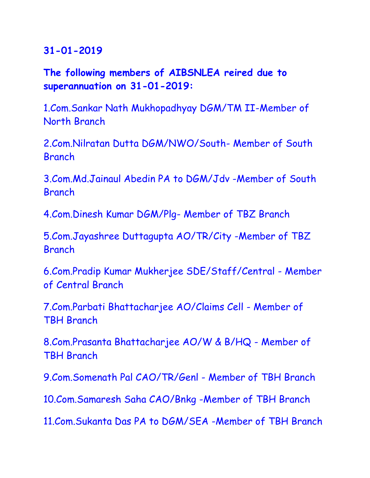## **The following members of AIBSNLEA reired due to superannuation on 31-01-2019:**

1.Com.Sankar Nath Mukhopadhyay DGM/TM II-Member of North Branch

2.Com.Nilratan Dutta DGM/NWO/South- Member of South Branch

3.Com.Md.Jainaul Abedin PA to DGM/Jdv -Member of South **Branch** 

4.Com.Dinesh Kumar DGM/Plg- Member of TBZ Branch

5.Com.Jayashree Duttagupta AO/TR/City -Member of TBZ Branch

6.Com.Pradip Kumar Mukherjee SDE/Staff/Central - Member of Central Branch

7.Com.Parbati Bhattacharjee AO/Claims Cell - Member of TBH Branch

8.Com.Prasanta Bhattacharjee AO/W & B/HQ - Member of TBH Branch

9.Com.Somenath Pal CAO/TR/Genl - Member of TBH Branch

10.Com.Samaresh Saha CAO/Bnkg -Member of TBH Branch

11.Com.Sukanta Das PA to DGM/SEA -Member of TBH Branch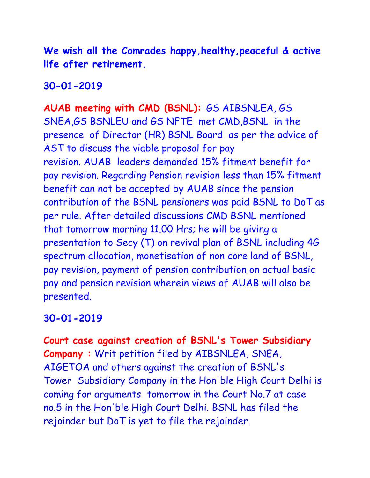**We wish all the Comrades happy,healthy,peaceful & active life after retirement.**

**30-01-2019**

**AUAB meeting with CMD (BSNL):** GS AIBSNLEA, GS SNEA,GS BSNLEU and GS NFTE met CMD,BSNL in the presence of Director (HR) BSNL Board as per the advice of AST to discuss the viable proposal for pay revision. AUAB leaders demanded 15% fitment benefit for pay revision. Regarding Pension revision less than 15% fitment benefit can not be accepted by AUAB since the pension contribution of the BSNL pensioners was paid BSNL to DoT as per rule. After detailed discussions CMD BSNL mentioned that tomorrow morning 11.00 Hrs; he will be giving a presentation to Secy (T) on revival plan of BSNL including 4G spectrum allocation, monetisation of non core land of BSNL, pay revision, payment of pension contribution on actual basic pay and pension revision wherein views of AUAB will also be presented.

## **30-01-2019**

**Court case against creation of BSNL's Tower Subsidiary Company :** Writ petition filed by AIBSNLEA, SNEA, AIGETOA and others against the creation of BSNL's Tower Subsidiary Company in the Hon'ble High Court Delhi is coming for arguments tomorrow in the Court No.7 at case no.5 in the Hon'ble High Court Delhi. BSNL has filed the rejoinder but DoT is yet to file the rejoinder.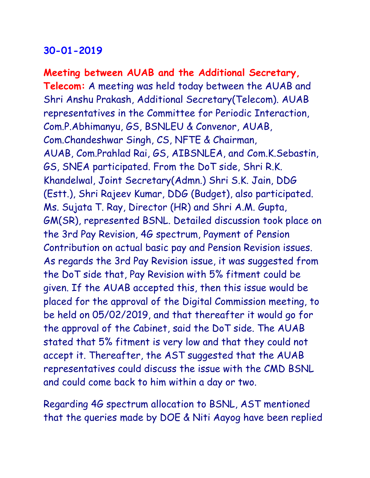**Meeting between AUAB and the Additional Secretary, Telecom:** A meeting was held today between the AUAB and Shri Anshu Prakash, Additional Secretary(Telecom). AUAB representatives in the Committee for Periodic Interaction, Com.P.Abhimanyu, GS, BSNLEU & Convenor, AUAB, Com.Chandeshwar Singh, CS, NFTE & Chairman, AUAB, Com.Prahlad Rai, GS, AIBSNLEA, and Com.K.Sebastin, GS, SNEA participated. From the DoT side, Shri R.K. Khandelwal, Joint Secretary(Admn.) Shri S.K. Jain, DDG (Estt.), Shri Rajeev Kumar, DDG (Budget), also participated. Ms. Sujata T. Ray, Director (HR) and Shri A.M. Gupta, GM(SR), represented BSNL. Detailed discussion took place on the 3rd Pay Revision, 4G spectrum, Payment of Pension Contribution on actual basic pay and Pension Revision issues. As regards the 3rd Pay Revision issue, it was suggested from the DoT side that, Pay Revision with 5% fitment could be given. If the AUAB accepted this, then this issue would be placed for the approval of the Digital Commission meeting, to be held on 05/02/2019, and that thereafter it would go for the approval of the Cabinet, said the DoT side. The AUAB stated that 5% fitment is very low and that they could not accept it. Thereafter, the AST suggested that the AUAB representatives could discuss the issue with the CMD BSNL and could come back to him within a day or two.

Regarding 4G spectrum allocation to BSNL, AST mentioned that the queries made by DOE & Niti Aayog have been replied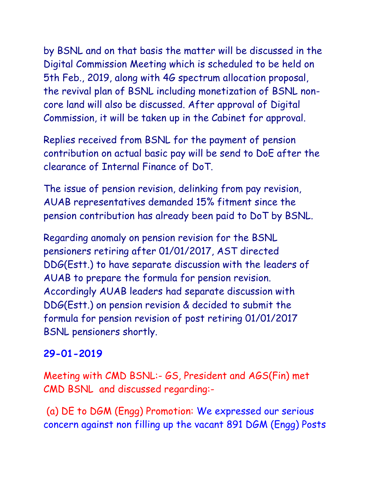by BSNL and on that basis the matter will be discussed in the Digital Commission Meeting which is scheduled to be held on 5th Feb., 2019, along with 4G spectrum allocation proposal, the revival plan of BSNL including monetization of BSNL noncore land will also be discussed. After approval of Digital Commission, it will be taken up in the Cabinet for approval.

Replies received from BSNL for the payment of pension contribution on actual basic pay will be send to DoE after the clearance of Internal Finance of DoT.

The issue of pension revision, delinking from pay revision, AUAB representatives demanded 15% fitment since the pension contribution has already been paid to DoT by BSNL.

Regarding anomaly on pension revision for the BSNL pensioners retiring after 01/01/2017, AST directed DDG(Estt.) to have separate discussion with the leaders of AUAB to prepare the formula for pension revision. Accordingly AUAB leaders had separate discussion with DDG(Estt.) on pension revision & decided to submit the formula for pension revision of post retiring 01/01/2017 BSNL pensioners shortly.

#### **29-01-2019**

Meeting with CMD BSNL:- GS, President and AGS(Fin) met CMD BSNL and discussed regarding:-

(a) DE to DGM (Engg) Promotion: We expressed our serious concern against non filling up the vacant 891 DGM (Engg) Posts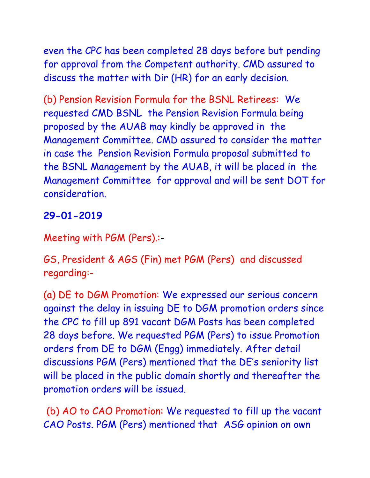even the CPC has been completed 28 days before but pending for approval from the Competent authority. CMD assured to discuss the matter with Dir (HR) for an early decision.

(b) Pension Revision Formula for the BSNL Retirees: We requested CMD BSNL the Pension Revision Formula being proposed by the AUAB may kindly be approved in the Management Committee. CMD assured to consider the matter in case the Pension Revision Formula proposal submitted to the BSNL Management by the AUAB, it will be placed in the Management Committee for approval and will be sent DOT for consideration.

#### **29-01-2019**

Meeting with PGM (Pers).:-

GS, President & AGS (Fin) met PGM (Pers) and discussed regarding:-

(a) DE to DGM Promotion: We expressed our serious concern against the delay in issuing DE to DGM promotion orders since the CPC to fill up 891 vacant DGM Posts has been completed 28 days before. We requested PGM (Pers) to issue Promotion orders from DE to DGM (Engg) immediately. After detail discussions PGM (Pers) mentioned that the DE's seniority list will be placed in the public domain shortly and thereafter the promotion orders will be issued.

(b) AO to CAO Promotion: We requested to fill up the vacant CAO Posts. PGM (Pers) mentioned that ASG opinion on own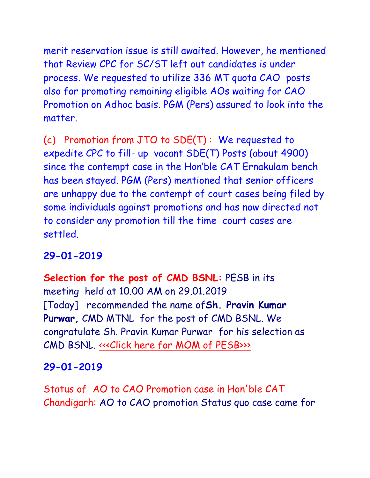merit reservation issue is still awaited. However, he mentioned that Review CPC for SC/ST left out candidates is under process. We requested to utilize 336 MT quota CAO posts also for promoting remaining eligible AOs waiting for CAO Promotion on Adhoc basis. PGM (Pers) assured to look into the matter.

(c) Promotion from JTO to SDE(T) : We requested to expedite CPC to fill- up vacant SDE(T) Posts (about 4900) since the contempt case in the Hon'ble CAT Ernakulam bench has been stayed. PGM (Pers) mentioned that senior officers are unhappy due to the contempt of court cases being filed by some individuals against promotions and has now directed not to consider any promotion till the time court cases are settled.

## **29-01-2019**

**Selection for the post of CMD BSNL:** PESB in its meeting held at 10.00 AM on 29.01.2019 [Today] recommended the name of**Sh. Pravin Kumar Purwar,** CMD MTNL for the post of CMD BSNL. We congratulate Sh. Pravin Kumar Purwar for his selection as CMD BSNL. <<< Click here for MOM of PESB>>>

## **29-01-2019**

Status of AO to CAO Promotion case in Hon'ble CAT Chandigarh: AO to CAO promotion Status quo case came for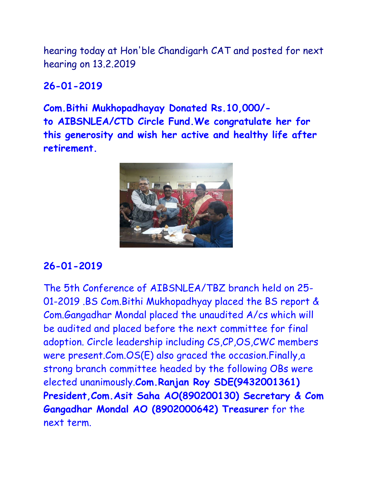hearing today at Hon'ble Chandigarh CAT and posted for next hearing on 13.2.2019

#### **26-01-2019**

**Com.Bithi Mukhopadhayay Donated Rs.10,000/ to AIBSNLEA/CTD Circle Fund.We congratulate her for this generosity and wish her active and healthy life after retirement.**



#### **26-01-2019**

The 5th Conference of AIBSNLEA/TBZ branch held on 25- 01-2019 .BS Com.Bithi Mukhopadhyay placed the BS report & Com.Gangadhar Mondal placed the unaudited A/cs which will be audited and placed before the next committee for final adoption. Circle leadership including CS,CP,OS,CWC members were present.Com.OS(E) also graced the occasion.Finally,a strong branch committee headed by the following OBs were elected unanimously.**Com.Ranjan Roy SDE(9432001361) President,Com.Asit Saha AO(890200130) Secretary & Com Gangadhar Mondal AO (8902000642) Treasurer** for the next term.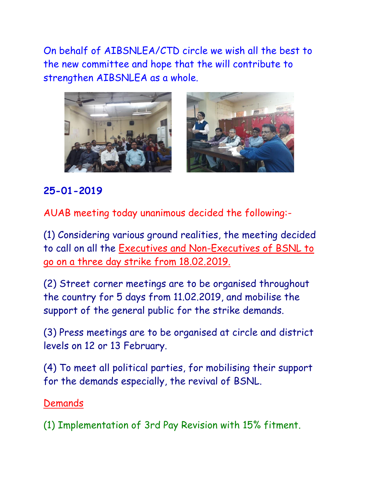On behalf of AIBSNLEA/CTD circle we wish all the best to the new committee and hope that the will contribute to strengthen AIBSNLEA as a whole.





## **25-01-2019**

AUAB meeting today unanimous decided the following:-

(1) Considering various ground realities, the meeting decided to call on all the Executives and Non-Executives of BSNL to go on a three day strike from 18.02.2019.

(2) Street corner meetings are to be organised throughout the country for 5 days from 11.02.2019, and mobilise the support of the general public for the strike demands.

(3) Press meetings are to be organised at circle and district levels on 12 or 13 February.

(4) To meet all political parties, for mobilising their support for the demands especially, the revival of BSNL.

#### Demands

(1) Implementation of 3rd Pay Revision with 15% fitment.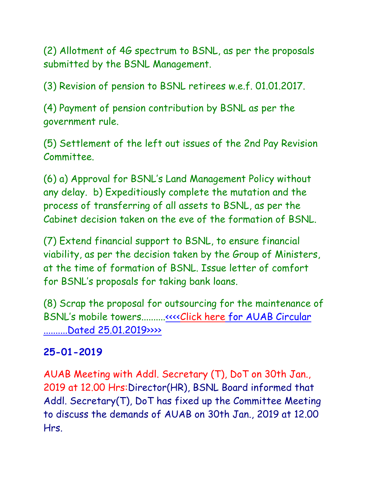(2) Allotment of 4G spectrum to BSNL, as per the proposals submitted by the BSNL Management.

(3) Revision of pension to BSNL retirees w.e.f. 01.01.2017.

(4) Payment of pension contribution by BSNL as per the government rule.

(5) Settlement of the left out issues of the 2nd Pay Revision Committee.

(6) a) Approval for BSNL's Land Management Policy without any delay. b) Expeditiously complete the mutation and the process of transferring of all assets to BSNL, as per the Cabinet decision taken on the eve of the formation of BSNL.

(7) Extend financial support to BSNL, to ensure financial viability, as per the decision taken by the Group of Ministers, at the time of formation of BSNL. Issue letter of comfort for BSNL's proposals for taking bank loans.

(8) Scrap the proposal for outsourcing for the maintenance of BSNL's mobile towers.........[.<<<<Click here for AUAB Circular](http://www.aibsnleachq.in/AUAB%20circular%20dated%2025.01.2019.pdf)  [..........Dated 25.01.2019>>>>](http://www.aibsnleachq.in/AUAB%20circular%20dated%2025.01.2019.pdf)

#### **25-01-2019**

AUAB Meeting with Addl. Secretary (T), DoT on 30th Jan., 2019 at 12.00 Hrs:Director(HR), BSNL Board informed that Addl. Secretary(T), DoT has fixed up the Committee Meeting to discuss the demands of AUAB on 30th Jan., 2019 at 12.00 Hrs.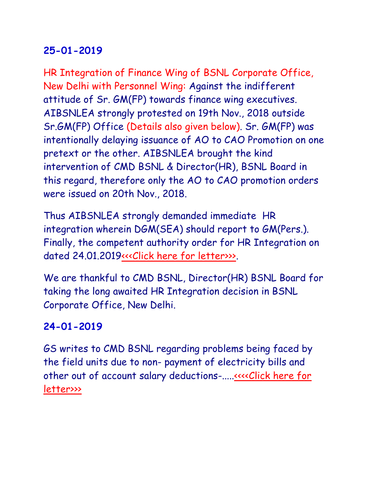HR Integration of Finance Wing of BSNL Corporate Office, New Delhi with Personnel Wing: Against the indifferent attitude of Sr. GM(FP) towards finance wing executives. AIBSNLEA strongly protested on 19th Nov., 2018 outside Sr.GM(FP) Office (Details also given below). Sr. GM(FP) was intentionally delaying issuance of AO to CAO Promotion on one pretext or the other. AIBSNLEA brought the kind intervention of CMD BSNL & Director(HR), BSNL Board in this regard, therefore only the AO to CAO promotion orders were issued on 20th Nov., 2018.

Thus AIBSNLEA strongly demanded immediate HR integration wherein DGM(SEA) should report to GM(Pers.). Finally, the competent authority order for HR Integration on dated 24.01.201[9<<<Click here for letter>>>.](http://www.aibsnleachq.in/HRIntegration_240119.pdf)

We are thankful to CMD BSNL, Director(HR) BSNL Board for taking the long awaited HR Integration decision in BSNL Corporate Office, New Delhi.

## **24-01-2019**

GS writes to CMD BSNL regarding problems being faced by the field units due to non- payment of electricity bills and other out of account salary deductions-....[.<<<<Click here for](http://www.aibsnleachq.in/Tail%20Nadu_24012019.PDF)  [letter>>>](http://www.aibsnleachq.in/Tail%20Nadu_24012019.PDF)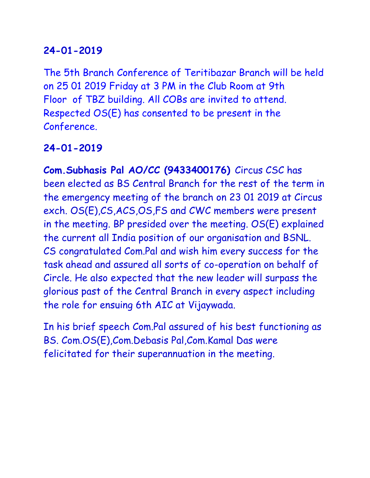The 5th Branch Conference of Teritibazar Branch will be held on 25 01 2019 Friday at 3 PM in the Club Room at 9th Floor of TBZ building. All COBs are invited to attend. Respected OS(E) has consented to be present in the Conference.

#### **24-01-2019**

**Com.Subhasis Pal AO/CC (9433400176)** Circus CSC has been elected as BS Central Branch for the rest of the term in the emergency meeting of the branch on 23 01 2019 at Circus exch. OS(E),CS,ACS,OS,FS and CWC members were present in the meeting. BP presided over the meeting. OS(E) explained the current all India position of our organisation and BSNL. CS congratulated Com.Pal and wish him every success for the task ahead and assured all sorts of co-operation on behalf of Circle. He also expected that the new leader will surpass the glorious past of the Central Branch in every aspect including the role for ensuing 6th AIC at Vijaywada.

In his brief speech Com.Pal assured of his best functioning as BS. Com.OS(E),Com.Debasis Pal,Com.Kamal Das were felicitated for their superannuation in the meeting.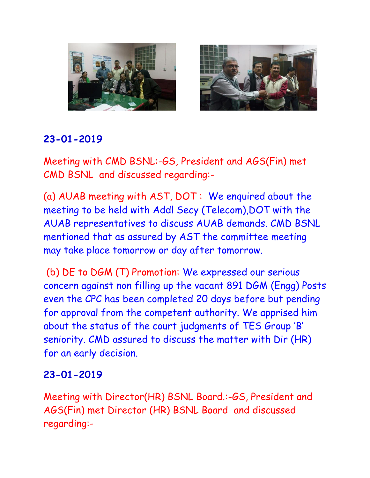



Meeting with CMD BSNL:-GS, President and AGS(Fin) met CMD BSNL and discussed regarding:-

(a) AUAB meeting with AST, DOT : We enquired about the meeting to be held with Addl Secy (Telecom),DOT with the AUAB representatives to discuss AUAB demands. CMD BSNL mentioned that as assured by AST the committee meeting may take place tomorrow or day after tomorrow.

(b) DE to DGM (T) Promotion: We expressed our serious concern against non filling up the vacant 891 DGM (Engg) Posts even the CPC has been completed 20 days before but pending for approval from the competent authority. We apprised him about the status of the court judgments of TES Group 'B' seniority. CMD assured to discuss the matter with Dir (HR) for an early decision.

#### **23-01-2019**

Meeting with Director(HR) BSNL Board.:-GS, President and AGS(Fin) met Director (HR) BSNL Board and discussed regarding:-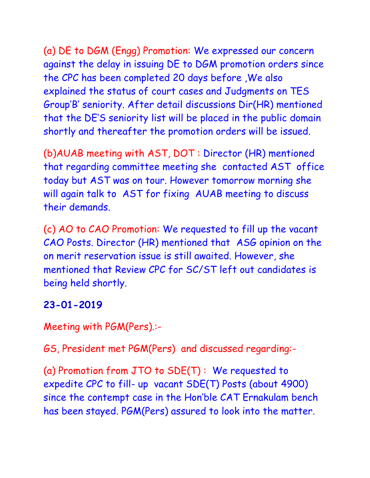(a) DE to DGM (Engg) Promotion: We expressed our concern against the delay in issuing DE to DGM promotion orders since the CPC has been completed 20 days before ,We also explained the status of court cases and Judgments on TES Group'B' seniority. After detail discussions Dir(HR) mentioned that the DE'S seniority list will be placed in the public domain shortly and thereafter the promotion orders will be issued.

(b)AUAB meeting with AST, DOT : Director (HR) mentioned that regarding committee meeting she contacted AST office today but AST was on tour. However tomorrow morning she will again talk to AST for fixing AUAB meeting to discuss their demands.

(c) AO to CAO Promotion: We requested to fill up the vacant CAO Posts. Director (HR) mentioned that ASG opinion on the on merit reservation issue is still awaited. However, she mentioned that Review CPC for SC/ST left out candidates is being held shortly.

#### **23-01-2019**

Meeting with PGM(Pers).:-

GS, President met PGM(Pers) and discussed regarding:-

(a) Promotion from JTO to SDE(T) : We requested to expedite CPC to fill- up vacant SDE(T) Posts (about 4900) since the contempt case in the Hon'ble CAT Ernakulam bench has been stayed. PGM(Pers) assured to look into the matter.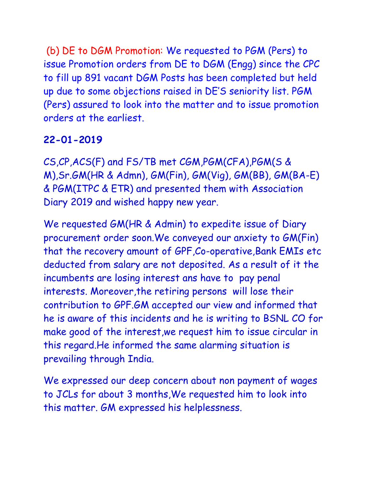(b) DE to DGM Promotion: We requested to PGM (Pers) to issue Promotion orders from DE to DGM (Engg) since the CPC to fill up 891 vacant DGM Posts has been completed but held up due to some objections raised in DE'S seniority list. PGM (Pers) assured to look into the matter and to issue promotion orders at the earliest.

#### **22-01-2019**

CS,CP,ACS(F) and FS/TB met CGM,PGM(CFA),PGM(S & M),Sr.GM(HR & Admn), GM(Fin), GM(Vig), GM(BB), GM(BA-E) & PGM(ITPC & ETR) and presented them with Association Diary 2019 and wished happy new year.

We requested GM(HR & Admin) to expedite issue of Diary procurement order soon.We conveyed our anxiety to GM(Fin) that the recovery amount of GPF,Co-operative,Bank EMIs etc deducted from salary are not deposited. As a result of it the incumbents are losing interest ans have to pay penal interests. Moreover,the retiring persons will lose their contribution to GPF.GM accepted our view and informed that he is aware of this incidents and he is writing to BSNL CO for make good of the interest,we request him to issue circular in this regard.He informed the same alarming situation is prevailing through India.

We expressed our deep concern about non payment of wages to JCLs for about 3 months,We requested him to look into this matter. GM expressed his helplessness.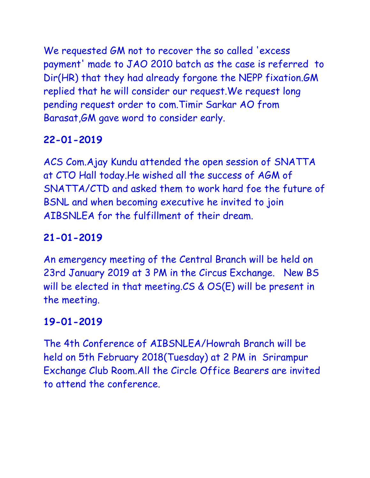We requested GM not to recover the so called 'excess payment' made to JAO 2010 batch as the case is referred to Dir(HR) that they had already forgone the NEPP fixation.GM replied that he will consider our request.We request long pending request order to com.Timir Sarkar AO from Barasat,GM gave word to consider early.

# **22-01-2019**

ACS Com.Ajay Kundu attended the open session of SNATTA at CTO Hall today.He wished all the success of AGM of SNATTA/CTD and asked them to work hard foe the future of BSNL and when becoming executive he invited to join AIBSNLEA for the fulfillment of their dream.

# **21-01-2019**

An emergency meeting of the Central Branch will be held on 23rd January 2019 at 3 PM in the Circus Exchange. New BS will be elected in that meeting.CS & OS(E) will be present in the meeting.

# **19-01-2019**

The 4th Conference of AIBSNLEA/Howrah Branch will be held on 5th February 2018(Tuesday) at 2 PM in Srirampur Exchange Club Room.All the Circle Office Bearers are invited to attend the conference.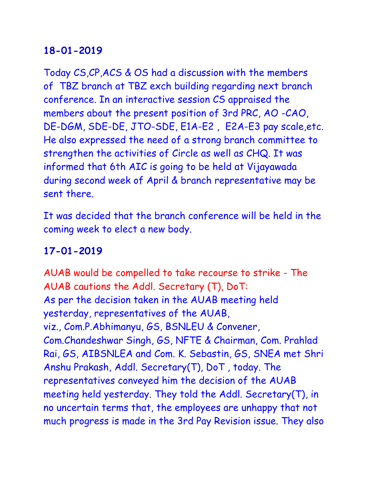Today CS,CP,ACS & OS had a discussion with the members of TBZ branch at TBZ exch building regarding next branch conference. In an interactive session CS appraised the members about the present position of 3rd PRC, AO -CAO, DE-DGM, SDE-DE, JTO-SDE, E1A-E2 , E2A-E3 pay scale,etc. He also expressed the need of a strong branch committee to strengthen the activities of Circle as well as CHQ. It was informed that 6th AIC is going to be held at Vijayawada during second week of April & branch representative may be sent there.

It was decided that the branch conference will be held in the coming week to elect a new body.

## **17-01-2019**

AUAB would be compelled to take recourse to strike - The AUAB cautions the Addl. Secretary (T), DoT: As per the decision taken in the AUAB meeting held yesterday, representatives of the AUAB, viz., Com.P.Abhimanyu, GS, BSNLEU & Convener, Com.Chandeshwar Singh, GS, NFTE & Chairman, Com. Prahlad Rai, GS, AIBSNLEA and Com. K. Sebastin, GS, SNEA met Shri Anshu Prakash, Addl. Secretary(T), DoT , today. The representatives conveyed him the decision of the AUAB meeting held yesterday. They told the Addl. Secretary(T), in no uncertain terms that, the employees are unhappy that not much progress is made in the 3rd Pay Revision issue. They also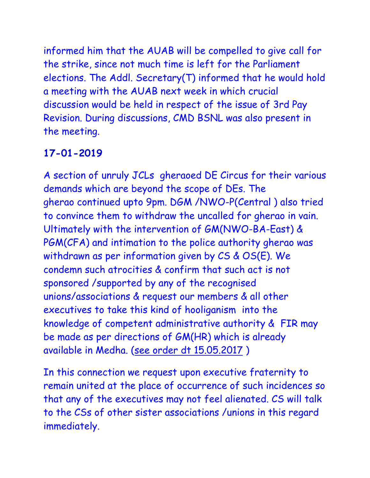informed him that the AUAB will be compelled to give call for the strike, since not much time is left for the Parliament elections. The Addl. Secretary(T) informed that he would hold a meeting with the AUAB next week in which crucial discussion would be held in respect of the issue of 3rd Pay Revision. During discussions, CMD BSNL was also present in the meeting.

# **17-01-2019**

A section of unruly JCLs gheraoed DE Circus for their various demands which are beyond the scope of DEs. The gherao continued upto 9pm. DGM /NWO-P(Central ) also tried to convince them to withdraw the uncalled for gherao in vain. Ultimately with the intervention of GM(NWO-BA-East) & PGM(CFA) and intimation to the police authority gherao was withdrawn as per information given by CS & OS(E). We condemn such atrocities & confirm that such act is not sponsored /supported by any of the recognised unions/associations & request our members & all other executives to take this kind of hooliganism into the knowledge of competent administrative authority & FIR may be made as per directions of GM(HR) which is already available in Medha. [\(see order dt 15.05.2017](http://aibsnleawb.org/prohibition%20of%20gathering.pdf) )

In this connection we request upon executive fraternity to remain united at the place of occurrence of such incidences so that any of the executives may not feel alienated. CS will talk to the CSs of other sister associations /unions in this regard immediately.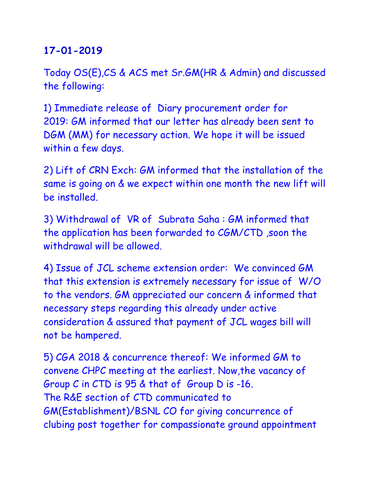Today OS(E),CS & ACS met Sr.GM(HR & Admin) and discussed the following:

1) Immediate release of Diary procurement order for 2019: GM informed that our letter has already been sent to DGM (MM) for necessary action. We hope it will be issued within a few days.

2) Lift of CRN Exch: GM informed that the installation of the same is going on & we expect within one month the new lift will be installed.

3) Withdrawal of VR of Subrata Saha : GM informed that the application has been forwarded to CGM/CTD ,soon the withdrawal will be allowed.

4) Issue of JCL scheme extension order: We convinced GM that this extension is extremely necessary for issue of W/O to the vendors. GM appreciated our concern & informed that necessary steps regarding this already under active consideration & assured that payment of JCL wages bill will not be hampered.

5) CGA 2018 & concurrence thereof: We informed GM to convene CHPC meeting at the earliest. Now,the vacancy of Group C in CTD is 95 & that of Group D is -16. The R&E section of CTD communicated to GM(Establishment)/BSNL CO for giving concurrence of clubing post together for compassionate ground appointment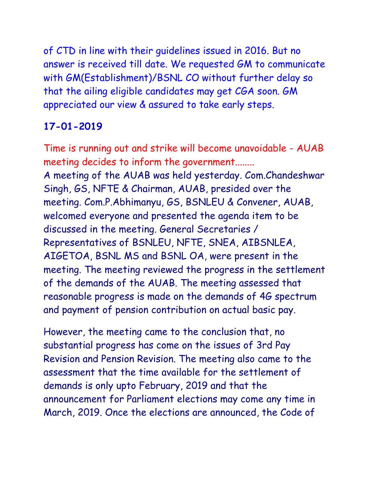of CTD in line with their guidelines issued in 2016. But no answer is received till date. We requested GM to communicate with GM(Establishment)/BSNL CO without further delay so that the ailing eligible candidates may get CGA soon. GM appreciated our view & assured to take early steps.

## **17-01-2019**

Time is running out and strike will become unavoidable - AUAB meeting decides to inform the government........ A meeting of the AUAB was held yesterday. Com.Chandeshwar Singh, GS, NFTE & Chairman, AUAB, presided over the meeting. Com.P.Abhimanyu, GS, BSNLEU & Convener, AUAB, welcomed everyone and presented the agenda item to be discussed in the meeting. General Secretaries / Representatives of BSNLEU, NFTE, SNEA, AIBSNLEA, AIGETOA, BSNL MS and BSNL OA, were present in the meeting. The meeting reviewed the progress in the settlement of the demands of the AUAB. The meeting assessed that reasonable progress is made on the demands of 4G spectrum and payment of pension contribution on actual basic pay.

However, the meeting came to the conclusion that, no substantial progress has come on the issues of 3rd Pay Revision and Pension Revision. The meeting also came to the assessment that the time available for the settlement of demands is only upto February, 2019 and that the announcement for Parliament elections may come any time in March, 2019. Once the elections are announced, the Code of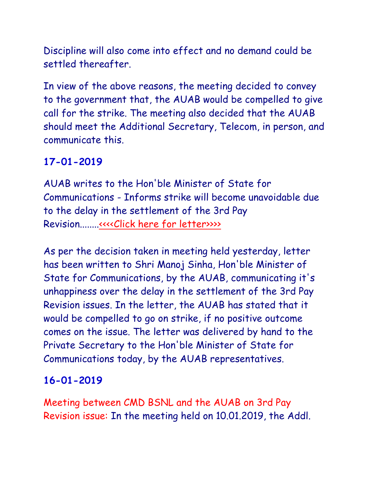Discipline will also come into effect and no demand could be settled thereafter.

In view of the above reasons, the meeting decided to convey to the government that, the AUAB would be compelled to give call for the strike. The meeting also decided that the AUAB should meet the Additional Secretary, Telecom, in person, and communicate this.

## **17-01-2019**

AUAB writes to the Hon'ble Minister of State for Communications - Informs strike will become unavoidable due to the delay in the settlement of the 3rd Pay Revision........[.<<<<Click here for letter>>>>](http://www.aibsnleachq.in/letter%20to%20Hon)>>>>>

As per the decision taken in meeting held yesterday, letter has been written to Shri Manoj Sinha, Hon'ble Minister of State for Communications, by the AUAB, communicating it's unhappiness over the delay in the settlement of the 3rd Pay Revision issues. In the letter, the AUAB has stated that it would be compelled to go on strike, if no positive outcome comes on the issue. The letter was delivered by hand to the Private Secretary to the Hon'ble Minister of State for Communications today, by the AUAB representatives.

## **16-01-2019**

Meeting between CMD BSNL and the AUAB on 3rd Pay Revision issue: In the meeting held on 10.01.2019, the Addl.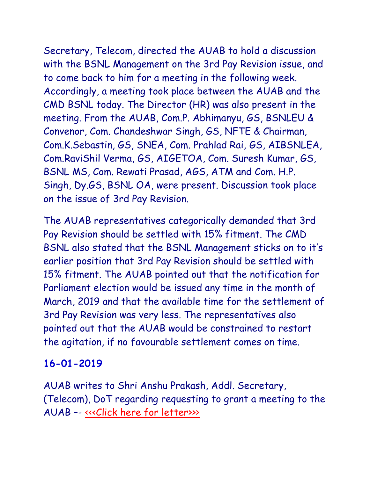Secretary, Telecom, directed the AUAB to hold a discussion with the BSNL Management on the 3rd Pay Revision issue, and to come back to him for a meeting in the following week. Accordingly, a meeting took place between the AUAB and the CMD BSNL today. The Director (HR) was also present in the meeting. From the AUAB, Com.P. Abhimanyu, GS, BSNLEU & Convenor, Com. Chandeshwar Singh, GS, NFTE & Chairman, Com.K.Sebastin, GS, SNEA, Com. Prahlad Rai, GS, AIBSNLEA, Com.RaviShil Verma, GS, AIGETOA, Com. Suresh Kumar, GS, BSNL MS, Com. Rewati Prasad, AGS, ATM and Com. H.P. Singh, Dy.GS, BSNL OA, were present. Discussion took place on the issue of 3rd Pay Revision.

The AUAB representatives categorically demanded that 3rd Pay Revision should be settled with 15% fitment. The CMD BSNL also stated that the BSNL Management sticks on to it's earlier position that 3rd Pay Revision should be settled with 15% fitment. The AUAB pointed out that the notification for Parliament election would be issued any time in the month of March, 2019 and that the available time for the settlement of 3rd Pay Revision was very less. The representatives also pointed out that the AUAB would be constrained to restart the agitation, if no favourable settlement comes on time.

## **16-01-2019**

AUAB writes to Shri Anshu Prakash, Addl. Secretary, (Telecom), DoT regarding requesting to grant a meeting to the AUAB –- [<<<Click here for letter>>>](http://www.aibsnleachq.in/Requesting%20to%20grant%20a%20meeting.pdf)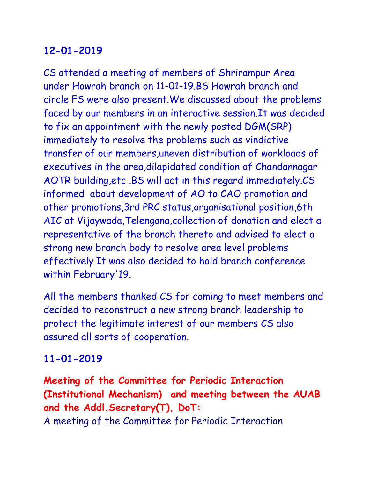CS attended a meeting of members of Shrirampur Area under Howrah branch on 11-01-19.BS Howrah branch and circle FS were also present.We discussed about the problems faced by our members in an interactive session.It was decided to fix an appointment with the newly posted DGM(SRP) immediately to resolve the problems such as vindictive transfer of our members,uneven distribution of workloads of executives in the area,dilapidated condition of Chandannagar AOTR building,etc .BS will act in this regard immediately.CS informed about development of AO to CAO promotion and other promotions,3rd PRC status,organisational position,6th AIC at Vijaywada,Telengana,collection of donation and elect a representative of the branch thereto and advised to elect a strong new branch body to resolve area level problems effectively.It was also decided to hold branch conference within February'19.

All the members thanked CS for coming to meet members and decided to reconstruct a new strong branch leadership to protect the legitimate interest of our members CS also assured all sorts of cooperation.

#### **11-01-2019**

**Meeting of the Committee for Periodic Interaction (Institutional Mechanism) and meeting between the AUAB and the Addl.Secretary(T), DoT:** A meeting of the Committee for Periodic Interaction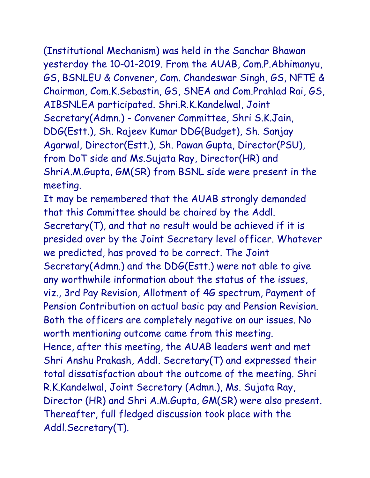(Institutional Mechanism) was held in the Sanchar Bhawan

yesterday the 10-01-2019. From the AUAB, Com.P.Abhimanyu, GS, BSNLEU & Convener, Com. Chandeswar Singh, GS, NFTE & Chairman, Com.K.Sebastin, GS, SNEA and Com.Prahlad Rai, GS, AIBSNLEA participated. Shri.R.K.Kandelwal, Joint Secretary(Admn.) - Convener Committee, Shri S.K.Jain, DDG(Estt.), Sh. Rajeev Kumar DDG(Budget), Sh. Sanjay Agarwal, Director(Estt.), Sh. Pawan Gupta, Director(PSU), from DoT side and Ms.Sujata Ray, Director(HR) and ShriA.M.Gupta, GM(SR) from BSNL side were present in the meeting.

It may be remembered that the AUAB strongly demanded that this Committee should be chaired by the Addl. Secretary(T), and that no result would be achieved if it is presided over by the Joint Secretary level officer. Whatever we predicted, has proved to be correct. The Joint Secretary(Admn.) and the DDG(Estt.) were not able to give any worthwhile information about the status of the issues, viz., 3rd Pay Revision, Allotment of 4G spectrum, Payment of Pension Contribution on actual basic pay and Pension Revision. Both the officers are completely negative on our issues. No worth mentioning outcome came from this meeting. Hence, after this meeting, the AUAB leaders went and met Shri Anshu Prakash, Addl. Secretary(T) and expressed their total dissatisfaction about the outcome of the meeting. Shri R.K.Kandelwal, Joint Secretary (Admn.), Ms. Sujata Ray, Director (HR) and Shri A.M.Gupta, GM(SR) were also present. Thereafter, full fledged discussion took place with the Addl.Secretary(T).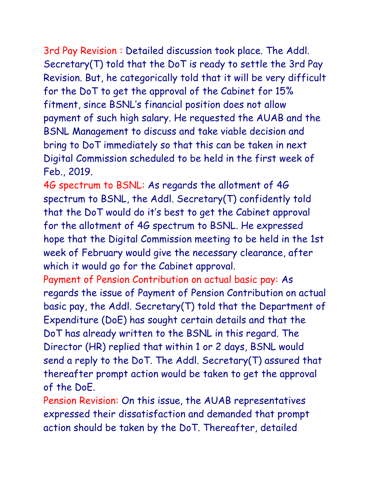3rd Pay Revision : Detailed discussion took place. The Addl. Secretary(T) told that the DoT is ready to settle the 3rd Pay Revision. But, he categorically told that it will be very difficult for the DoT to get the approval of the Cabinet for 15% fitment, since BSNL's financial position does not allow payment of such high salary. He requested the AUAB and the BSNL Management to discuss and take viable decision and bring to DoT immediately so that this can be taken in next Digital Commission scheduled to be held in the first week of Feb., 2019.

4G spectrum to BSNL: As regards the allotment of 4G spectrum to BSNL, the Addl. Secretary(T) confidently told that the DoT would do it's best to get the Cabinet approval for the allotment of 4G spectrum to BSNL. He expressed hope that the Digital Commission meeting to be held in the 1st week of February would give the necessary clearance, after which it would go for the Cabinet approval.

Payment of Pension Contribution on actual basic pay: As regards the issue of Payment of Pension Contribution on actual basic pay, the Addl. Secretary(T) told that the Department of Expenditure (DoE) has sought certain details and that the DoT has already written to the BSNL in this regard. The Director (HR) replied that within 1 or 2 days, BSNL would send a reply to the DoT. The Addl. Secretary(T) assured that thereafter prompt action would be taken to get the approval of the DoE.

Pension Revision: On this issue, the AUAB representatives expressed their dissatisfaction and demanded that prompt action should be taken by the DoT. Thereafter, detailed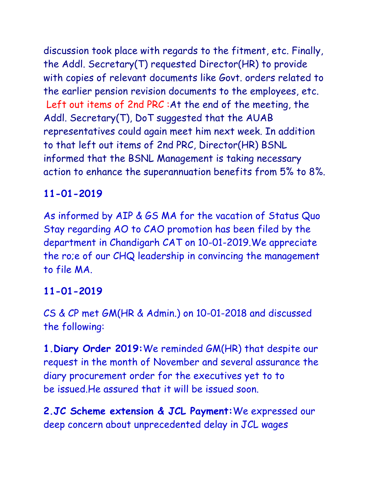discussion took place with regards to the fitment, etc. Finally, the Addl. Secretary(T) requested Director(HR) to provide with copies of relevant documents like Govt. orders related to the earlier pension revision documents to the employees, etc. Left out items of 2nd PRC :At the end of the meeting, the Addl. Secretary(T), DoT suggested that the AUAB representatives could again meet him next week. In addition to that left out items of 2nd PRC, Director(HR) BSNL informed that the BSNL Management is taking necessary action to enhance the superannuation benefits from 5% to 8%.

## **11-01-2019**

As informed by AIP & GS MA for the vacation of Status Quo Stay regarding AO to CAO promotion has been filed by the department in Chandigarh CAT on 10-01-2019.We appreciate the ro;e of our CHQ leadership in convincing the management to file MA.

## **11-01-2019**

CS & CP met GM(HR & Admin.) on 10-01-2018 and discussed the following:

**1.Diary Order 2019:**We reminded GM(HR) that despite our request in the month of November and several assurance the diary procurement order for the executives yet to to be issued.He assured that it will be issued soon.

**2.JC Scheme extension & JCL Payment:**We expressed our deep concern about unprecedented delay in JCL wages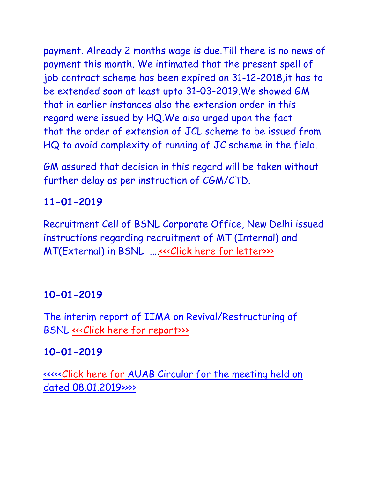payment. Already 2 months wage is due.Till there is no news of payment this month. We intimated that the present spell of job contract scheme has been expired on 31-12-2018,it has to be extended soon at least upto 31-03-2019.We showed GM that in earlier instances also the extension order in this regard were issued by HQ.We also urged upon the fact that the order of extension of JCL scheme to be issued from HQ to avoid complexity of running of JC scheme in the field.

GM assured that decision in this regard will be taken without further delay as per instruction of CGM/CTD.

## **11-01-2019**

Recruitment Cell of BSNL Corporate Office, New Delhi issued instructions regarding recruitment of MT (Internal) and MT(External) in BSNL ...[.<<<Click here for letter>>>](http://www.aibsnleachq.in/MT%20Letter.pdf)>

## **10-01-2019**

The interim report of IIMA on Revival/Restructuring of BSNL «<< Click here for report>>>>

## **10-01-2019**

[<<<<<Click here for AUAB Circular for the meeting held on](http://www.aibsnleachq.in/Circular%20AUAB%20(2).pdf)  [dated 08.01.2019>>>>](http://www.aibsnleachq.in/Circular%20AUAB%20(2).pdf)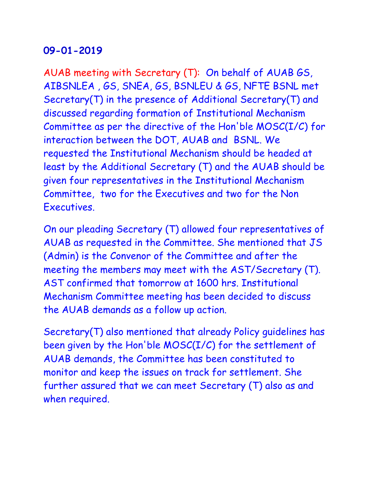AUAB meeting with Secretary (T): On behalf of AUAB GS, AIBSNLEA , GS, SNEA, GS, BSNLEU & GS, NFTE BSNL met Secretary(T) in the presence of Additional Secretary(T) and discussed regarding formation of Institutional Mechanism Committee as per the directive of the Hon'ble MOSC(I/C) for interaction between the DOT, AUAB and BSNL. We requested the Institutional Mechanism should be headed at least by the Additional Secretary (T) and the AUAB should be given four representatives in the Institutional Mechanism Committee, two for the Executives and two for the Non **Executives** 

On our pleading Secretary (T) allowed four representatives of AUAB as requested in the Committee. She mentioned that JS (Admin) is the Convenor of the Committee and after the meeting the members may meet with the AST/Secretary (T). AST confirmed that tomorrow at 1600 hrs. Institutional Mechanism Committee meeting has been decided to discuss the AUAB demands as a follow up action.

Secretary(T) also mentioned that already Policy guidelines has been given by the Hon'ble MOSC(I/C) for the settlement of AUAB demands, the Committee has been constituted to monitor and keep the issues on track for settlement. She further assured that we can meet Secretary (T) also as and when required.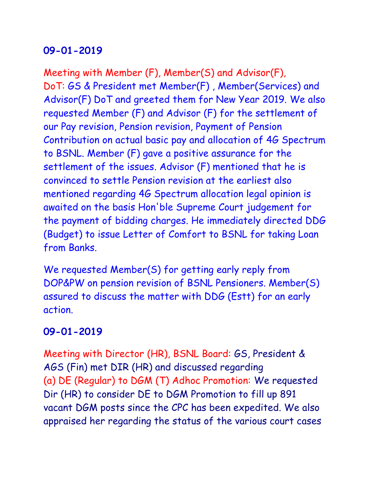Meeting with Member (F), Member(S) and Advisor(F), DoT: GS & President met Member(F) , Member(Services) and Advisor(F) DoT and greeted them for New Year 2019. We also requested Member (F) and Advisor (F) for the settlement of our Pay revision, Pension revision, Payment of Pension Contribution on actual basic pay and allocation of 4G Spectrum to BSNL. Member (F) gave a positive assurance for the settlement of the issues. Advisor (F) mentioned that he is convinced to settle Pension revision at the earliest also mentioned regarding 4G Spectrum allocation legal opinion is awaited on the basis Hon'ble Supreme Court judgement for the payment of bidding charges. He immediately directed DDG (Budget) to issue Letter of Comfort to BSNL for taking Loan from Banks.

We requested Member(S) for getting early reply from DOP&PW on pension revision of BSNL Pensioners. Member(S) assured to discuss the matter with DDG (Estt) for an early action.

## **09-01-2019**

Meeting with Director (HR), BSNL Board: GS, President & AGS (Fin) met DIR (HR) and discussed regarding (a) DE (Regular) to DGM (T) Adhoc Promotion: We requested Dir (HR) to consider DE to DGM Promotion to fill up 891 vacant DGM posts since the CPC has been expedited. We also appraised her regarding the status of the various court cases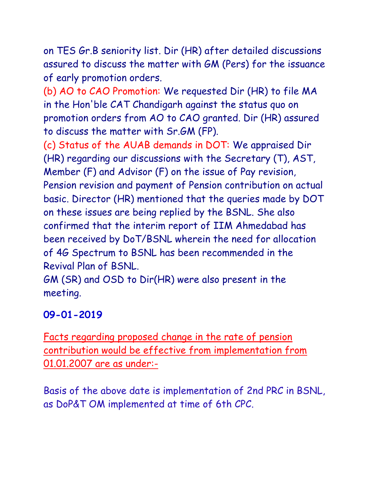on TES Gr.B seniority list. Dir (HR) after detailed discussions assured to discuss the matter with GM (Pers) for the issuance of early promotion orders.

(b) AO to CAO Promotion: We requested Dir (HR) to file MA in the Hon'ble CAT Chandigarh against the status quo on promotion orders from AO to CAO granted. Dir (HR) assured to discuss the matter with Sr.GM (FP).

(c) Status of the AUAB demands in DOT: We appraised Dir (HR) regarding our discussions with the Secretary (T), AST, Member (F) and Advisor (F) on the issue of Pay revision, Pension revision and payment of Pension contribution on actual basic. Director (HR) mentioned that the queries made by DOT on these issues are being replied by the BSNL. She also confirmed that the interim report of IIM Ahmedabad has been received by DoT/BSNL wherein the need for allocation of 4G Spectrum to BSNL has been recommended in the Revival Plan of BSNL.

GM (SR) and OSD to Dir(HR) were also present in the meeting.

## **09-01-2019**

Facts regarding proposed change in the rate of pension contribution would be effective from implementation from 01.01.2007 are as under:-

Basis of the above date is implementation of 2nd PRC in BSNL, as DoP&T OM implemented at time of 6th CPC.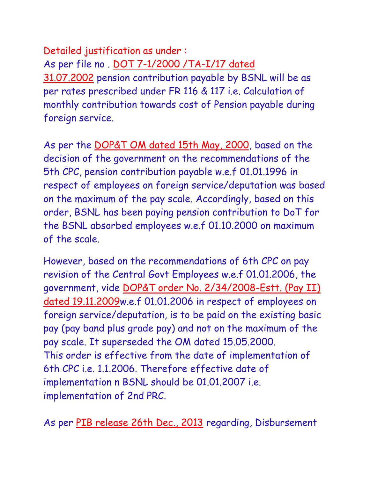Detailed justification as under : As per file no . [DOT 7-1/2000 /TA-I/17 dated](http://www.aibsnleachq.in/2014-12-11%20171705.pdf)  [31.07.2002](http://www.aibsnleachq.in/2014-12-11%20171705.pdf) pension contribution payable by BSNL will be as per rates prescribed under FR 116 & 117 i.e. Calculation of monthly contribution towards cost of Pension payable during foreign service.

As per the [DOP&T OM dated 15th May, 2000,](http://www.aibsnleachq.in/2_3_2000-Estt.Pay-II-15052000A.pdf) based on the decision of the government on the recommendations of the 5th CPC, pension contribution payable w.e.f 01.01.1996 in respect of employees on foreign service/deputation was based on the maximum of the pay scale. Accordingly, based on this order, BSNL has been paying pension contribution to DoT for the BSNL absorbed employees w.e.f 01.10.2000 on maximum of the scale.

However, based on the recommendations of 6th CPC on pay revision of the Central Govt Employees w.e.f 01.01.2006, the government, vide [DOP&T order No. 2/34/2008-Estt. \(Pay II\)](http://www.aibsnleachq.in/2_34_2008-Estt.(Pay-II).pdf)  [dated 19.11.2009w](http://www.aibsnleachq.in/2_34_2008-Estt.(Pay-II).pdf).e.f 01.01.2006 in respect of employees on foreign service/deputation, is to be paid on the existing basic pay (pay band plus grade pay) and not on the maximum of the pay scale. It superseded the OM dated 15.05.2000. This order is effective from the date of implementation of 6th CPC i.e. 1.1.2006. Therefore effective date of implementation n BSNL should be 01.01.2007 i.e. implementation of 2nd PRC.

As per [PIB release 26th Dec., 2013](http://www.aibsnleachq.in/Disbursement%20of%20pensionary%20benefits%20to%20all%20the%20combined%20service%20pension%20optee%20absorbed%20employees%20of%20Mahanagar%20Telephone%20Nigam%20Limited%20(MTNL).pdf) regarding, Disbursement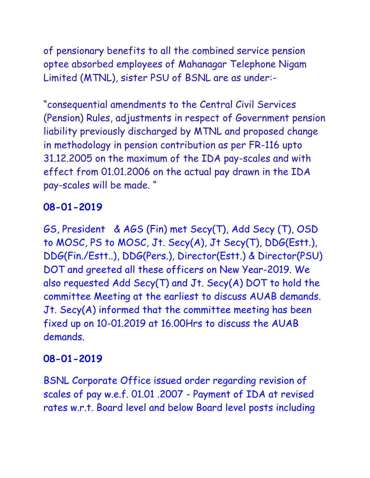of pensionary benefits to all the combined service pension optee absorbed employees of Mahanagar Telephone Nigam Limited (MTNL), sister PSU of BSNL are as under:-

"consequential amendments to the Central Civil Services (Pension) Rules, adjustments in respect of Government pension liability previously discharged by MTNL and proposed change in methodology in pension contribution as per FR-116 upto 31.12.2005 on the maximum of the IDA pay-scales and with effect from 01.01.2006 on the actual pay drawn in the IDA pay-scales will be made. "

#### **08-01-2019**

GS, President & AGS (Fin) met Secy(T), Add Secy (T), OSD to MOSC, PS to MOSC, Jt. Secy(A), Jt Secy(T), DDG(Estt.), DDG(Fin./Estt..), DDG(Pers.), Director(Estt.) & Director(PSU) DOT and greeted all these officers on New Year-2019. We also requested Add Secy(T) and Jt. Secy(A) DOT to hold the committee Meeting at the earliest to discuss AUAB demands. Jt. Secy(A) informed that the committee meeting has been fixed up on 10-01.2019 at 16.00Hrs to discuss the AUAB demands.

#### **08-01-2019**

BSNL Corporate Office issued order regarding revision of scales of pay w.e.f. 01.01 .2007 - Payment of IDA at revised rates w.r.t. Board level and below Board level posts including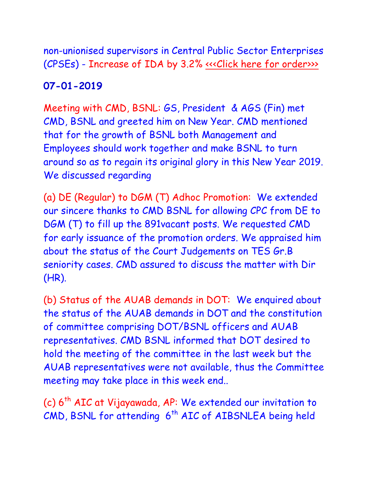non-unionised supervisors in Central Public Sector Enterprises (CPSEs) - Increase of IDA by 3.2% «<< Click here for order>>>

## **07-01-2019**

Meeting with CMD, BSNL: GS, President & AGS (Fin) met CMD, BSNL and greeted him on New Year. CMD mentioned that for the growth of BSNL both Management and Employees should work together and make BSNL to turn around so as to regain its original glory in this New Year 2019. We discussed regarding

(a) DE (Regular) to DGM (T) Adhoc Promotion: We extended our sincere thanks to CMD BSNL for allowing CPC from DE to DGM (T) to fill up the 891vacant posts. We requested CMD for early issuance of the promotion orders. We appraised him about the status of the Court Judgements on TES Gr.B seniority cases. CMD assured to discuss the matter with Dir (HR).

(b) Status of the AUAB demands in DOT: We enquired about the status of the AUAB demands in DOT and the constitution of committee comprising DOT/BSNL officers and AUAB representatives. CMD BSNL informed that DOT desired to hold the meeting of the committee in the last week but the AUAB representatives were not available, thus the Committee meeting may take place in this week end..

(c) 6<sup>th</sup> AIC at Vijayawada, AP: We extended our invitation to  $CMD$ , BSNL for attending  $6<sup>th</sup>$  AIC of AIBSNLEA being held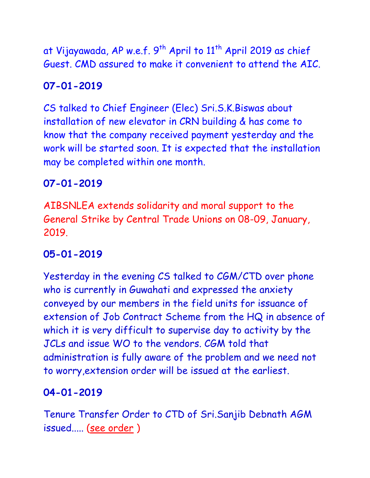at Vijayawada, AP w.e.f.  $9^{th}$  April to  $11^{th}$  April 2019 as chief Guest. CMD assured to make it convenient to attend the AIC.

## **07-01-2019**

CS talked to Chief Engineer (Elec) Sri.S.K.Biswas about installation of new elevator in CRN building & has come to know that the company received payment yesterday and the work will be started soon. It is expected that the installation may be completed within one month.

#### **07-01-2019**

AIBSNLEA extends solidarity and moral support to the General Strike by Central Trade Unions on 08-09, January, 2019.

## **05-01-2019**

Yesterday in the evening CS talked to CGM/CTD over phone who is currently in Guwahati and expressed the anxiety conveyed by our members in the field units for issuance of extension of Job Contract Scheme from the HQ in absence of which it is very difficult to supervise day to activity by the JCLs and issue WO to the vendors. CGM told that administration is fully aware of the problem and we need not to worry,extension order will be issued at the earliest.

## **04-01-2019**

Tenure Transfer Order to CTD of Sri.Sanjib Debnath AGM issued..... [\(see order](http://aibsnleawb.org/AGM%2003-01-19.pdf) )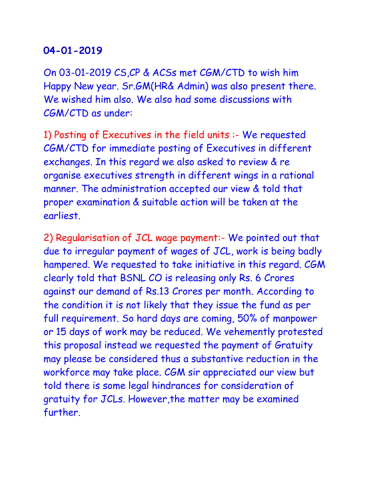On 03-01-2019 CS,CP & ACSs met CGM/CTD to wish him Happy New year. Sr.GM(HR& Admin) was also present there. We wished him also. We also had some discussions with CGM/CTD as under:

1) Posting of Executives in the field units :- We requested CGM/CTD for immediate posting of Executives in different exchanges. In this regard we also asked to review & re organise executives strength in different wings in a rational manner. The administration accepted our view & told that proper examination & suitable action will be taken at the earliest.

2) Regularisation of JCL wage payment:- We pointed out that due to irregular payment of wages of JCL, work is being badly hampered. We requested to take initiative in this regard. CGM clearly told that BSNL CO is releasing only Rs. 6 Crores against our demand of Rs.13 Crores per month. According to the condition it is not likely that they issue the fund as per full requirement. So hard days are coming, 50% of manpower or 15 days of work may be reduced. We vehemently protested this proposal instead we requested the payment of Gratuity may please be considered thus a substantive reduction in the workforce may take place. CGM sir appreciated our view but told there is some legal hindrances for consideration of gratuity for JCLs. However,the matter may be examined further.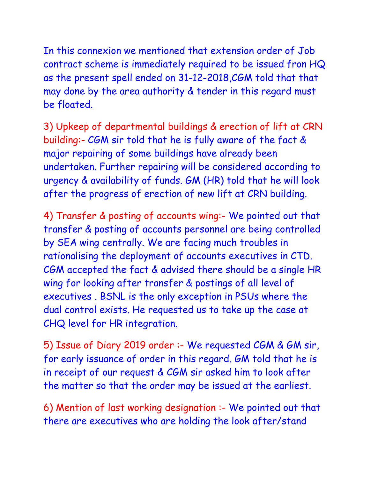In this connexion we mentioned that extension order of Job contract scheme is immediately required to be issued fron HQ as the present spell ended on 31-12-2018,CGM told that that may done by the area authority & tender in this regard must be floated.

3) Upkeep of departmental buildings & erection of lift at CRN building:- CGM sir told that he is fully aware of the fact & major repairing of some buildings have already been undertaken. Further repairing will be considered according to urgency & availability of funds. GM (HR) told that he will look after the progress of erection of new lift at CRN building.

4) Transfer & posting of accounts wing:- We pointed out that transfer & posting of accounts personnel are being controlled by SEA wing centrally. We are facing much troubles in rationalising the deployment of accounts executives in CTD. CGM accepted the fact & advised there should be a single HR wing for looking after transfer & postings of all level of executives . BSNL is the only exception in PSUs where the dual control exists. He requested us to take up the case at CHQ level for HR integration.

5) Issue of Diary 2019 order :- We requested CGM & GM sir, for early issuance of order in this regard. GM told that he is in receipt of our request & CGM sir asked him to look after the matter so that the order may be issued at the earliest.

6) Mention of last working designation :- We pointed out that there are executives who are holding the look after/stand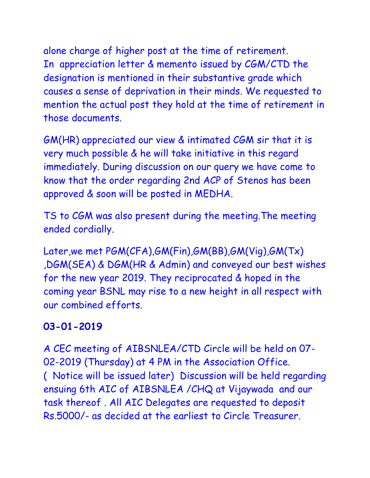alone charge of higher post at the time of retirement. In appreciation letter & memento issued by CGM/CTD the designation is mentioned in their substantive grade which causes a sense of deprivation in their minds. We requested to mention the actual post they hold at the time of retirement in those documents.

GM(HR) appreciated our view & intimated CGM sir that it is very much possible & he will take initiative in this regard immediately. During discussion on our query we have come to know that the order regarding 2nd ACP of Stenos has been approved & soon will be posted in MEDHA.

TS to CGM was also present during the meeting.The meeting ended cordially.

Later,we met PGM(CFA),GM(Fin),GM(BB),GM(Vig),GM(Tx) ,DGM(SEA) & DGM(HR & Admin) and conveyed our best wishes for the new year 2019. They reciprocated & hoped in the coming year BSNL may rise to a new height in all respect with our combined efforts.

## **03-01-2019**

A CEC meeting of AIBSNLEA/CTD Circle will be held on 07- 02-2019 (Thursday) at 4 PM in the Association Office. ( Notice will be issued later) Discussion will be held regarding ensuing 6th AIC of AIBSNLEA /CHQ at Vijaywada and our task thereof . All AIC Delegates are requested to deposit Rs.5000/- as decided at the earliest to Circle Treasurer.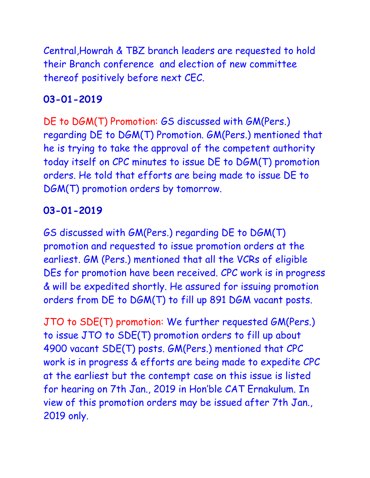Central,Howrah & TBZ branch leaders are requested to hold their Branch conference and election of new committee thereof positively before next CEC.

## **03-01-2019**

DE to DGM(T) Promotion: GS discussed with GM(Pers.) regarding DE to DGM(T) Promotion. GM(Pers.) mentioned that he is trying to take the approval of the competent authority today itself on CPC minutes to issue DE to DGM(T) promotion orders. He told that efforts are being made to issue DE to DGM(T) promotion orders by tomorrow.

#### **03-01-2019**

GS discussed with GM(Pers.) regarding DE to DGM(T) promotion and requested to issue promotion orders at the earliest. GM (Pers.) mentioned that all the VCRs of eligible DEs for promotion have been received. CPC work is in progress & will be expedited shortly. He assured for issuing promotion orders from DE to DGM(T) to fill up 891 DGM vacant posts.

JTO to SDE(T) promotion: We further requested GM(Pers.) to issue JTO to SDE(T) promotion orders to fill up about 4900 vacant SDE(T) posts. GM(Pers.) mentioned that CPC work is in progress & efforts are being made to expedite CPC at the earliest but the contempt case on this issue is listed for hearing on 7th Jan., 2019 in Hon'ble CAT Ernakulum. In view of this promotion orders may be issued after 7th Jan., 2019 only.